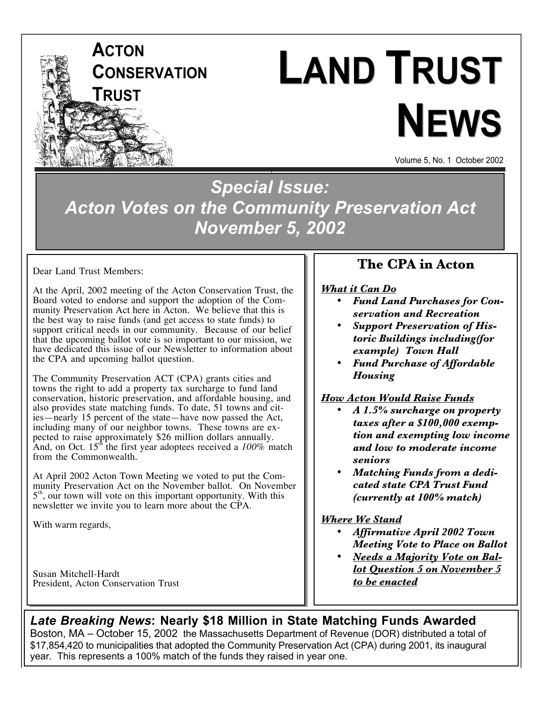

# **LAND TRUST NEWS**

Volume 5, No. 1 October 2002

*Special Issue: Acton Votes on the Community Preservation Act November 5, 2002*

Dear Land Trust Members:

At the April, 2002 meeting of the Acton Conservation Trust, the Board voted to endorse and support the adoption of the Community Preservation Act here in Acton. We believe that this is the best way to raise funds (and get access to state funds) to support critical needs in our community. Because of our belief that the upcoming ballot vote is so important to our mission, we have dedicated this issue of our Newsletter to information about the CPA and upcoming ballot question.

The Community Preservation ACT (CPA) grants cities and towns the right to add a property tax surcharge to fund land conservation, historic preservation, and affordable housing, and also provides state matching funds. To date, 51 towns and cities—nearly 15 percent of the state—have now passed the Act, including many of our neighbor towns. These towns are expected to raise approximately \$26 million dollars annually. And, on Oct. 15<sup>th</sup> the first year adoptees received a  $100\%$  match from the Commonwealth.

At April 2002 Acton Town Meeting we voted to put the Community Preservation Act on the November ballot. On November  $5<sup>th</sup>$ , our town will vote on this important opportunity. With this newsletter we invite you to learn more about the CPA.

With warm regards,

Susan Mitchell-Hardt President, Acton Conservation Trust

## **The CPA in Acton**

*What it Can Do Fund Land Purchases for Conservation and Recreation Support Preservation of Historic Buildings including(for example) Town Hall Fund Purchase of Affordable*

*How Acton Would Raise Funds A 1.5% surcharge on property taxes after a \$100,000 exemption and exempting low income and low to moderate income seniors*

*Matching Funds from a dedicated state CPA Trust Fund (currently at 100% match)*

#### *Where We Stand*

*Housing*

*Affirmative April 2002 Town Meeting Vote to Place on Ballot Needs a Majority Vote on Ballot Question 5 on November 5 to be enacted*

*LOW INCOME EXEMPTION.*

### *Late Breaking News***: Nearly \$18 Million in State Matching Funds Awarded**

Boston, MA – October 15, 2002 the Massachusetts Department of Revenue (DOR) distributed a total of \$17,854,420 to municipalities that adopted the Community Preservation Act (CPA) during 2001, its inaugural year. This represents a 100% match of the funds they raised in year one.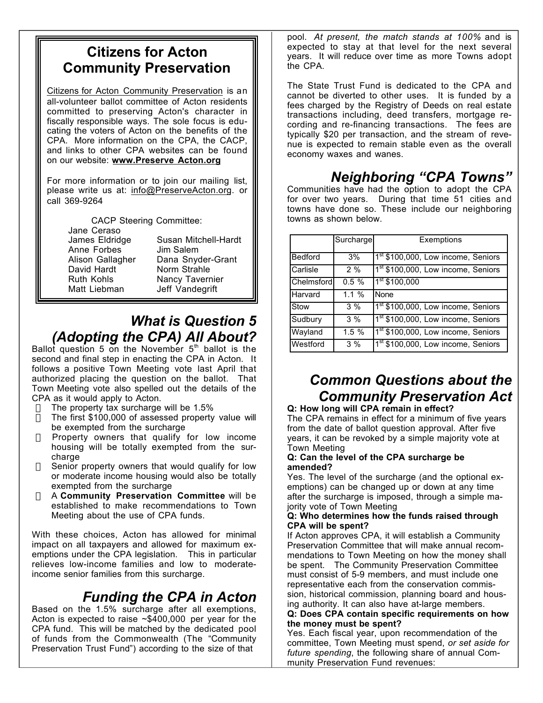## **Citizens for Acton Community Preservation**

Citizens for Acton Community Preservation is an all-volunteer ballot committee of Acton residents committed to preserving Acton's character in fiscally responsible ways. The sole focus is educating the voters of Acton on the benefits of the CPA. More information on the CPA, the CACP, and links to other CPA websites can be found on our website: **www.Preserve Acton.org**

For more information or to join our mailing list, please write us at: info@PreserveActon.org. or call 369-9264

CACP Steering Committee:

Jane Ceraso James Eldridge Anne Forbes Alison Gallagher David Hardt Ruth Kohls Matt Liebman

Susan Mitchell-Hardt Jim Salem Dana Snyder-Grant Norm Strahle Nancy Tavernier Jeff Vandegrift

## *What is Question 5 (Adopting the CPA) All About?*

Ballot question 5 on the November  $5<sup>th</sup>$  ballot is the second and final step in enacting the CPA in Acton. It follows a positive Town Meeting vote last April that authorized placing the question on the ballot. That Town Meeting vote also spelled out the details of the CPA as it would apply to Acton.

- $\Rightarrow$  The property tax surcharge will be 1.5%
- $\Rightarrow$  The first \$100,000 of assessed property value will be exempted from the surcharge
- $\Rightarrow$  Property owners that qualify for low income housing will be totally exempted from the surcharge
- $\Rightarrow$  Senior property owners that would qualify for low or moderate income housing would also be totally exempted from the surcharge
- ⇒ A **Community Preservation Committee** will be established to make recommendations to Town Meeting about the use of CPA funds.

With these choices, Acton has allowed for minimal impact on all taxpayers and allowed for maximum exemptions under the CPA legislation. This in particular relieves low-income families and low to moderateincome senior families from this surcharge.

## *Funding the CPA in Acton*

Based on the 1.5% surcharge after all exemptions, Acton is expected to raise  $\sim$ \$400,000 per year for the CPA fund. This will be matched by the dedicated pool of funds from the Commonwealth (The "Community Preservation Trust Fund") according to the size of that

pool. *At present, the match stands at 100%* and is expected to stay at that level for the next several years. It will reduce over time as more Towns adopt the CPA.

The State Trust Fund is dedicated to the CPA and cannot be diverted to other uses. It is funded by a fees charged by the Registry of Deeds on real estate transactions including, deed transfers, mortgage recording and re-financing transactions. The fees are typically \$20 per transaction, and the stream of revenue is expected to remain stable even as the overall economy waxes and wanes.

# *Neighboring "CPA Towns"*

Communities have had the option to adopt the CPA for over two years. During that time 51 cities and towns have done so. These include our neighboring towns as shown below.

|                | Surcharge | Exemptions                                     |
|----------------|-----------|------------------------------------------------|
| <b>Bedford</b> | 3%        | 1 <sup>st</sup> \$100,000, Low income, Seniors |
| Carlisle       | 2%        | 1 <sup>st</sup> \$100,000, Low income, Seniors |
| Chelmsford     | 0.5%      | 1 <sup>st</sup> \$100,000                      |
| Harvard        | $1.1 \%$  | None                                           |
| Stow           | $3\%$     | 1 <sup>st</sup> \$100,000, Low income, Seniors |
| Sudbury        | 3%        | 1st \$100,000, Low income, Seniors             |
| Wayland        | 1.5%      | 1 <sup>st</sup> \$100,000, Low income, Seniors |
| Westford       | 3%        | 1 <sup>st</sup> \$100,000, Low income, Seniors |

# *Common Questions about the Community Preservation Act*

**Q: How long will CPA remain in effect?** The CPA remains in effect for a minimum of five years from the date of ballot question approval. After five years, it can be revoked by a simple majority vote at Town Meeting

#### **Q: Can the level of the CPA surcharge be amended?**

Yes. The level of the surcharge (and the optional exemptions) can be changed up or down at any time after the surcharge is imposed, through a simple majority vote of Town Meeting

#### **Q: Who determines how the funds raised through CPA will be spent?**

If Acton approves CPA, it will establish a Community Preservation Committee that will make annual recommendations to Town Meeting on how the money shall be spent. The Community Preservation Committee must consist of 5-9 members, and must include one representative each from the conservation commission, historical commission, planning board and housing authority. It can also have at-large members.

#### **Q: Does CPA contain specific requirements on how the money must be spent?**

Yes. Each fiscal year, upon recommendation of the committee, Town Meeting must spend, *or set aside for future spending*, the following share of annual Community Preservation Fund revenues: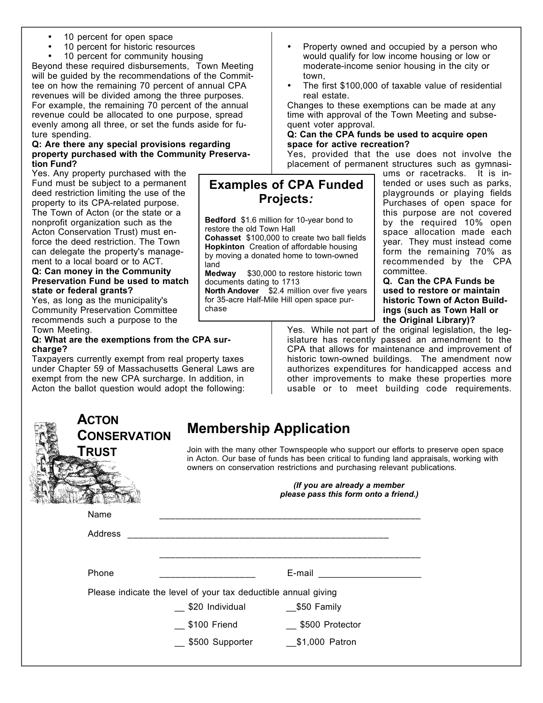- 10 percent for open space
- 10 percent for historic resources

10 percent for community housing

Beyond these required disbursements, Town Meeting will be guided by the recommendations of the Committee on how the remaining 70 percent of annual CPA revenues will be divided among the three purposes. For example, the remaining 70 percent of the annual revenue could be allocated to one purpose, spread evenly among all three, or set the funds aside for future spending.

#### **Q: Are there any special provisions regarding property purchased with the Community Preservation Fund?**

Yes. Any property purchased with the Fund must be subject to a permanent deed restriction limiting the use of the property to its CPA-related purpose. The Town of Acton (or the state or a nonprofit organization such as the Acton Conservation Trust) must enforce the deed restriction. The Town can delegate the property's management to a local board or to ACT.

#### **Q: Can money in the Community Preservation Fund be used to match state or federal grants?**

Yes, as long as the municipality's Community Preservation Committee recommends such a purpose to the Town Meeting.

#### **Q: What are the exemptions from the CPA surcharge?**

Taxpayers currently exempt from real property taxes under Chapter 59 of Massachusetts General Laws are exempt from the new CPA surcharge. In addition, in Acton the ballot question would adopt the following:



# **Membership Application**

Join with the many other Townspeople who support our efforts to preserve open space in Acton. Our base of funds has been critical to funding land appraisals, working with owners on conservation restrictions and purchasing relevant publications.

> *(If you are already a member please pass this form onto a friend.)*

| Name                                                           |                 |                 |  |  |  |  |
|----------------------------------------------------------------|-----------------|-----------------|--|--|--|--|
| Address                                                        |                 |                 |  |  |  |  |
| Phone                                                          |                 | E-mail          |  |  |  |  |
| Please indicate the level of your tax deductible annual giving |                 |                 |  |  |  |  |
|                                                                | \$20 Individual | \$50 Family     |  |  |  |  |
|                                                                | \$100 Friend    | \$500 Protector |  |  |  |  |
|                                                                | \$500 Supporter | \$1,000 Patron  |  |  |  |  |

Property owned and occupied by a person who would qualify for low income housing or low or moderate-income senior housing in the city or town,

The first \$100,000 of taxable value of residential real estate.

Changes to these exemptions can be made at any time with approval of the Town Meeting and subsequent voter approval.

#### **Q: Can the CPA funds be used to acquire open space for active recreation?**

Yes, provided that the use does not involve the placement of permanent structures such as gymnasi-

## **Examples of CPA Funded Projects***:*

**Bedford** \$1.6 million for 10-year bond to restore the old Town Hall **Cohasset** \$100,000 to create two ball fields **Hopkinton** Creation of affordable housing by moving a donated home to town-owned land

**Medway** \$30,000 to restore historic town documents dating to 1713

**North Andover** \$2.4 million over five years for 35-acre Half-Mile Hill open space purchase

ums or racetracks. It is intended or uses such as parks, playgrounds or playing fields Purchases of open space for this purpose are not covered by the required 10% open space allocation made each year. They must instead come form the remaining 70% as recommended by the CPA committee.

**Q. Can the CPA Funds be used to restore or maintain historic Town of Acton Buildings (such as Town Hall or the Original Library)?**

Yes. While not part of the original legislation, the legislature has recently passed an amendment to the CPA that allows for maintenance and improvement of historic town-owned buildings. The amendment now authorizes expenditures for handicapped access and other improvements to make these properties more usable or to meet building code requirements.